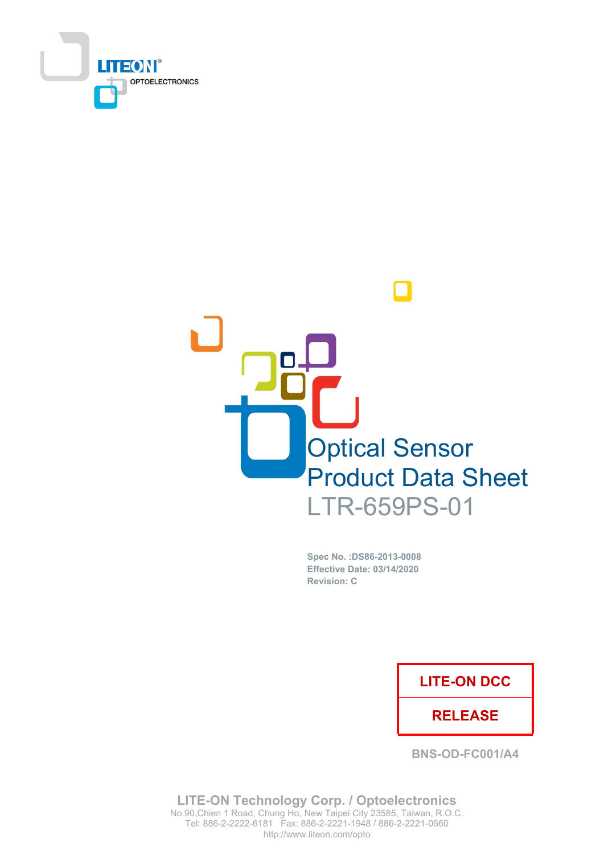



Spec No. : DS86-2013-0008 Effective Date: 03/14/2020 **Revision: C** 

## **LITE-ON DCC**

## **RELEASE**

**BNS-OD-FC001/A4** 

**LITE-ON Technology Corp. / Optoelectronics** No.90, Chien 1 Road, Chung Ho, New Taipei City 23585, Taiwan, R.O.C. Tel: 886-2-2222-6181 Fax: 886-2-2221-1948 / 886-2-2221-0660 http://www.liteon.com/opto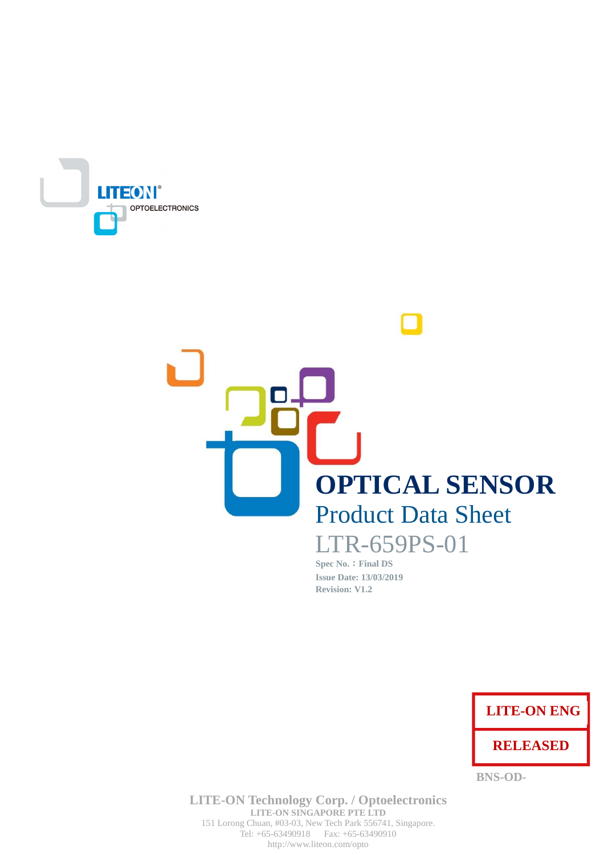

# **OPTICAL SENSOR Product Data Sheet** LTR-659PS-01

Spec No. : Final DS **Issue Date: 13/03/2019 Revision: V1.2** 



**BNS-OD-**

**LITE-ON Technology Corp. / Optoelectronics** LITE-ON SINGAPORE PTE LTD 151 Lorong Chuan, #03-03, New Tech Park 556741, Singapore. Tel:  $+65-63490918$  Fax:  $+65-63490910$ http://www.liteon.com/opto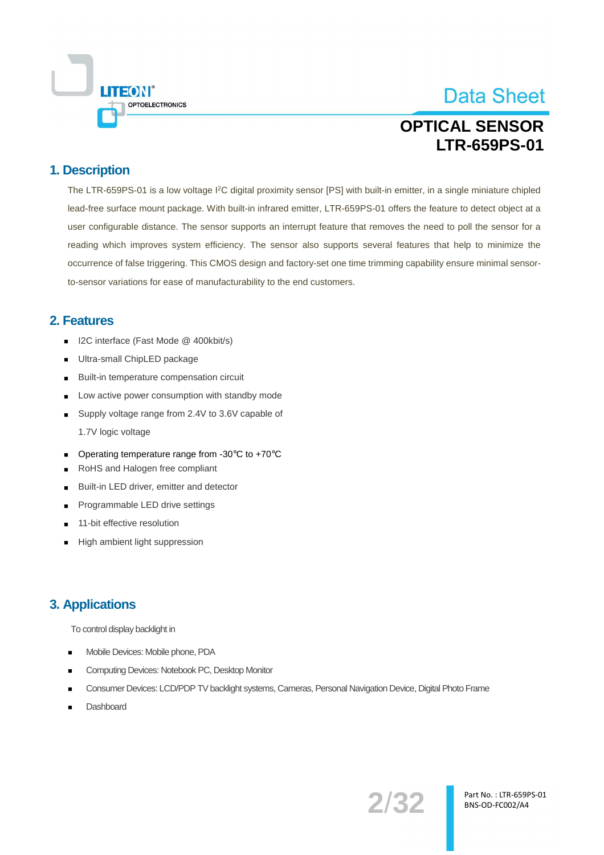

# **OPTICAL SENSOR LTR-659PS-01**

## 1. Description

The LTR-659PS-01 is a low voltage I<sup>2</sup>C digital proximity sensor [PS] with built-in emitter, in a single miniature chipled lead-free surface mount package. With built-in infrared emitter. LTR-659PS-01 offers the feature to detect object at a user configurable distance. The sensor supports an interrupt feature that removes the need to poll the sensor for a reading which improves system efficiency. The sensor also supports several features that help to minimize the occurrence of false triggering. This CMOS design and factory-set one time trimming capability ensure minimal sensorto-sensor variations for ease of manufacturability to the end customers.

## 2. Features

- I2C interface (Fast Mode @ 400kbit/s)
- Ultra-small ChipLED package
- Built-in temperature compensation circuit
- Low active power consumption with standby mode
- Supply voltage range from 2.4V to 3.6V capable of 1.7V logic voltage
- Operating temperature range from -30°C to +70°C
- RoHS and Halogen free compliant
- Built-in LED driver, emitter and detector  $\blacksquare$
- Programmable LED drive settings
- 11-bit effective resolution
- High ambient light suppression

## **3. Applications**

To control display backlight in

- Mobile Devices: Mobile phone, PDA
- Computing Devices: Notebook PC, Desktop Monitor
- Consumer Devices: LCD/PDP TV backlight systems, Cameras, Personal Navigation Device, Digital Photo Frame
- Dashboard

2/32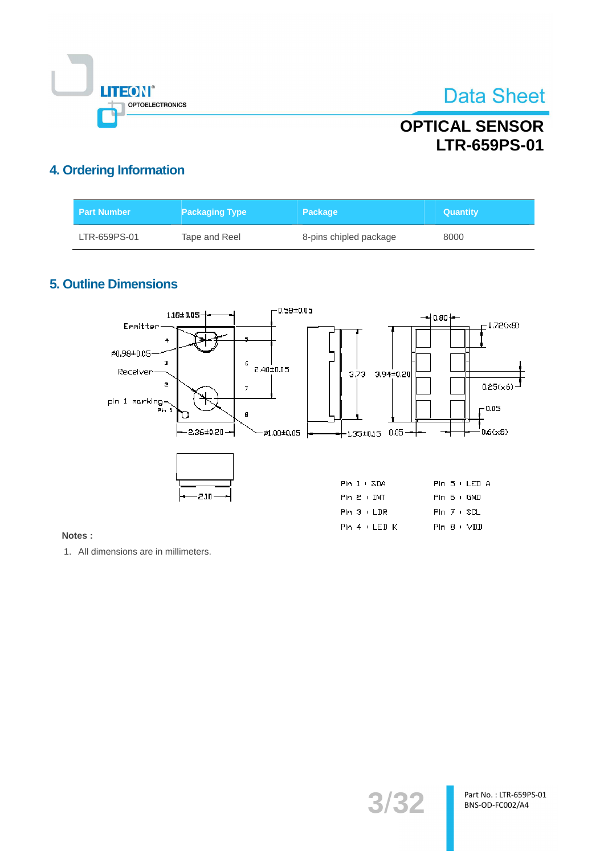

## **OPTICAL SENSOR LTR-659PS-01**

## 4. Ordering Information

| <b>Part Number</b> | <b>Packaging Type</b> | <b>Package</b>         | <b>Quantity</b> |
|--------------------|-----------------------|------------------------|-----------------|
| LTR-659PS-01       | Tape and Reel         | 8-pins chipled package | 8000            |

## **5. Outline Dimensions**



#### Notes:

1. All dimensions are in millimeters.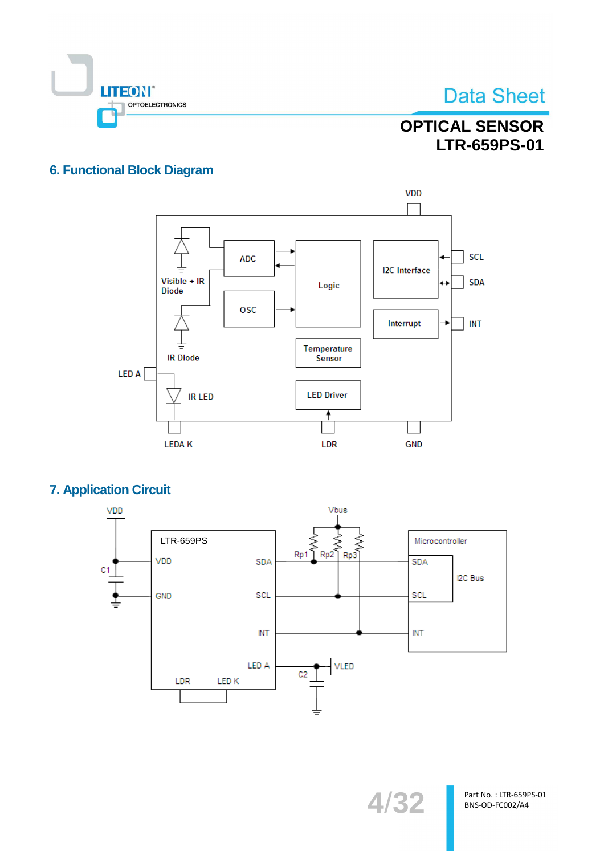

**OPTICAL SENSOR** LTR-659PS-01

## **6. Functional Block Diagram**



## **7. Application Circuit**

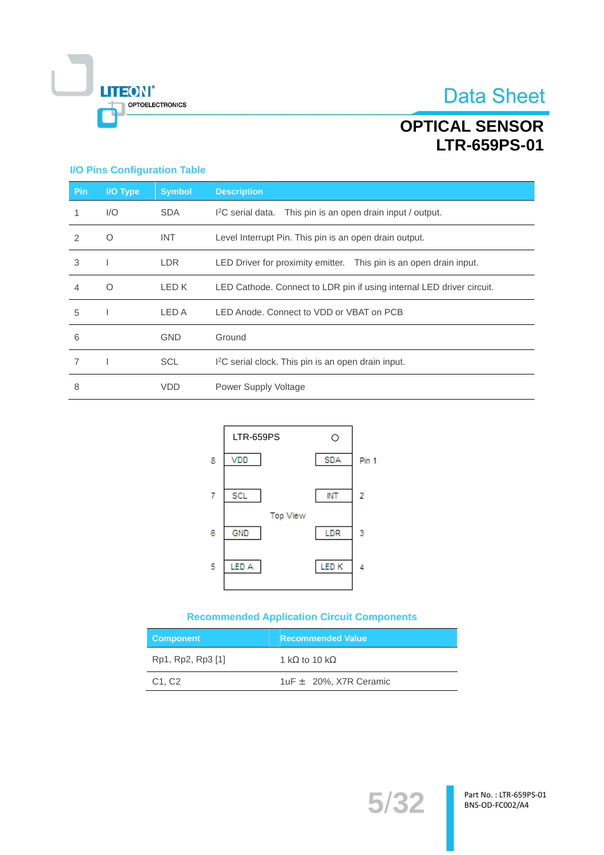

# **OPTICAL SENSOR** LTR-659PS-01

#### **I/O Pins Configuration Table**

| <b>Pin</b>    | I/O Type | <b>Symbol</b> | <b>Description</b>                                                      |
|---------------|----------|---------------|-------------------------------------------------------------------------|
| 1             | 1/O      | <b>SDA</b>    | I <sup>2</sup> C serial data. This pin is an open drain input / output. |
| $\mathcal{P}$ | O        | <b>INT</b>    | Level Interrupt Pin. This pin is an open drain output.                  |
| 3             |          | LDR.          | LED Driver for proximity emitter. This pin is an open drain input.      |
| 4             | $\Omega$ | LED K         | LED Cathode. Connect to LDR pin if using internal LED driver circuit.   |
| 5             |          | LED A         | LED Anode. Connect to VDD or VBAT on PCB                                |
| 6             |          | <b>GND</b>    | Ground                                                                  |
|               |          | <b>SCL</b>    | I <sup>2</sup> C serial clock. This pin is an open drain input.         |
| 8             |          | <b>VDD</b>    | Power Supply Voltage                                                    |



#### **Recommended Application Circuit Components**

| <b>Component</b>                | <b>Recommended Value</b>      |
|---------------------------------|-------------------------------|
| Rp1, Rp2, Rp3 [1]               | 1 k $\Omega$ to 10 k $\Omega$ |
| C <sub>1</sub> , C <sub>2</sub> | 1uF $\pm$ 20%, X7R Ceramic    |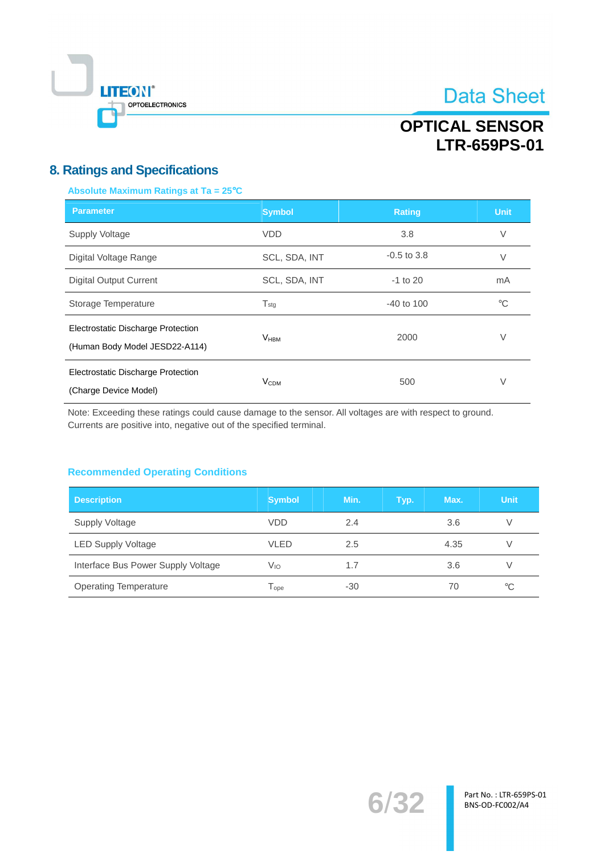

## **OPTICAL SENSOR LTR-659PS-01**

## **8. Ratings and Specifications**

#### Absolute Maximum Ratings at Ta = 25°C

| <b>Parameter</b>                                                            | <b>Symbol</b>               | <b>Rating</b>   | <b>Unit</b> |
|-----------------------------------------------------------------------------|-----------------------------|-----------------|-------------|
| Supply Voltage                                                              | <b>VDD</b>                  | 3.8             | V           |
| Digital Voltage Range                                                       | SCL, SDA, INT               | $-0.5$ to $3.8$ | V           |
| <b>Digital Output Current</b>                                               | SCL, SDA, INT               | $-1$ to 20      | mA          |
| Storage Temperature                                                         | $\mathsf{T}_{\mathsf{std}}$ | $-40$ to $100$  | $^{\circ}C$ |
| <b>Electrostatic Discharge Protection</b><br>(Human Body Model JESD22-A114) | V <sub>HBM</sub>            | 2000            | V           |
| Electrostatic Discharge Protection<br>(Charge Device Model)                 | V <sub>CDM</sub>            | 500             | V           |

Note: Exceeding these ratings could cause damage to the sensor. All voltages are with respect to ground. Currents are positive into, negative out of the specified terminal.

#### **Recommended Operating Conditions**

| <b>Description</b>                 | <b>Symbol</b>               | Min.  | Typ. | Max. | <b>Unit</b> |
|------------------------------------|-----------------------------|-------|------|------|-------------|
| Supply Voltage                     | <b>VDD</b>                  | 2.4   |      | 3.6  | V           |
| <b>LED Supply Voltage</b>          | <b>VLED</b>                 | 2.5   |      | 4.35 |             |
| Interface Bus Power Supply Voltage | Vıo                         | 1.7   |      | 3.6  |             |
| <b>Operating Temperature</b>       | $\mathsf{T}_{\mathsf{one}}$ | $-30$ |      | 70   | $^{\circ}C$ |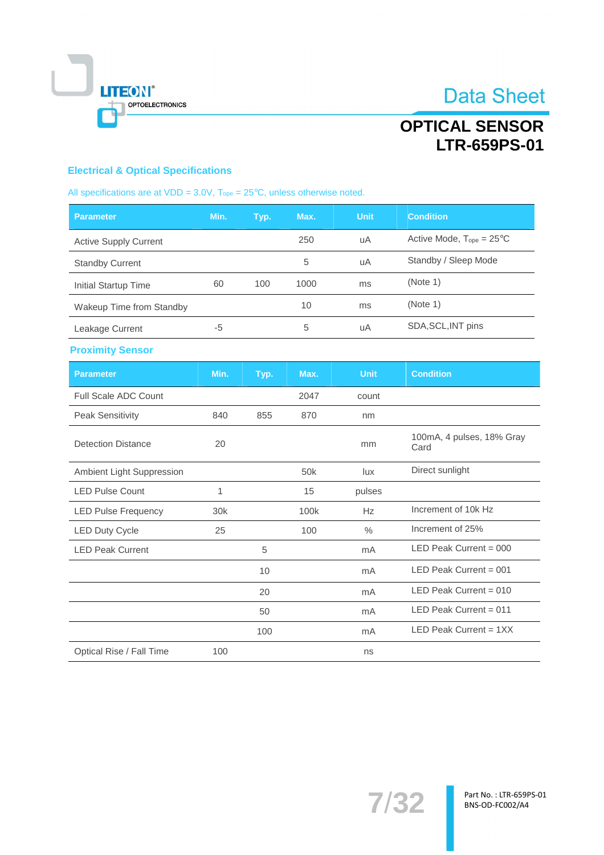

## **OPTICAL SENSOR** LTR-659PS-01

## **Electrical & Optical Specifications**

| All specifications are at VDD = $3.0V$ , $T_{ope} = 25^{\circ}C$ , unless otherwise noted. |  |  |  |  |  |
|--------------------------------------------------------------------------------------------|--|--|--|--|--|
|--------------------------------------------------------------------------------------------|--|--|--|--|--|

| <b>Parameter</b>             | Min. | Typ. | Max. | Unit | <b>Condition</b>                     |
|------------------------------|------|------|------|------|--------------------------------------|
| <b>Active Supply Current</b> |      |      | 250  | uA   | Active Mode, $T_{ope} = 25^{\circ}C$ |
| <b>Standby Current</b>       |      |      | 5    | uA   | Standby / Sleep Mode                 |
| Initial Startup Time         | 60   | 100  | 1000 | ms   | (Note 1)                             |
| Wakeup Time from Standby     |      |      | 10   | ms   | (Note 1)                             |
| Leakage Current              | -5   |      | 5    | uA   | SDA, SCL, INT pins                   |

#### **Proximity Sensor**

| <b>Parameter</b>            | Min.            | Typ. | Max.            | <b>Unit</b>   | <b>Condition</b>                  |
|-----------------------------|-----------------|------|-----------------|---------------|-----------------------------------|
| <b>Full Scale ADC Count</b> |                 |      | 2047            | count         |                                   |
| <b>Peak Sensitivity</b>     | 840             | 855  | 870             | nm            |                                   |
| Detection Distance          | 20              |      |                 | mm            | 100mA, 4 pulses, 18% Gray<br>Card |
| Ambient Light Suppression   |                 |      | 50 <sub>k</sub> | lux           | Direct sunlight                   |
| <b>LED Pulse Count</b>      | 1               |      | 15              | pulses        |                                   |
| <b>LED Pulse Frequency</b>  | 30 <sub>k</sub> |      | 100k            | Hz            | Increment of 10k Hz               |
| <b>LED Duty Cycle</b>       | 25              |      | 100             | $\frac{0}{0}$ | Increment of 25%                  |
| <b>LED Peak Current</b>     |                 | 5    |                 | mA            | LED Peak Current = $000$          |
|                             |                 | 10   |                 | mA            | LED Peak Current = $001$          |
|                             |                 | 20   |                 | mA            | LED Peak Current = $010$          |
|                             |                 | 50   |                 | mA            | LED Peak Current = $011$          |
|                             |                 | 100  |                 | mA            | LED Peak Current = $1XX$          |
| Optical Rise / Fall Time    | 100             |      |                 | ns            |                                   |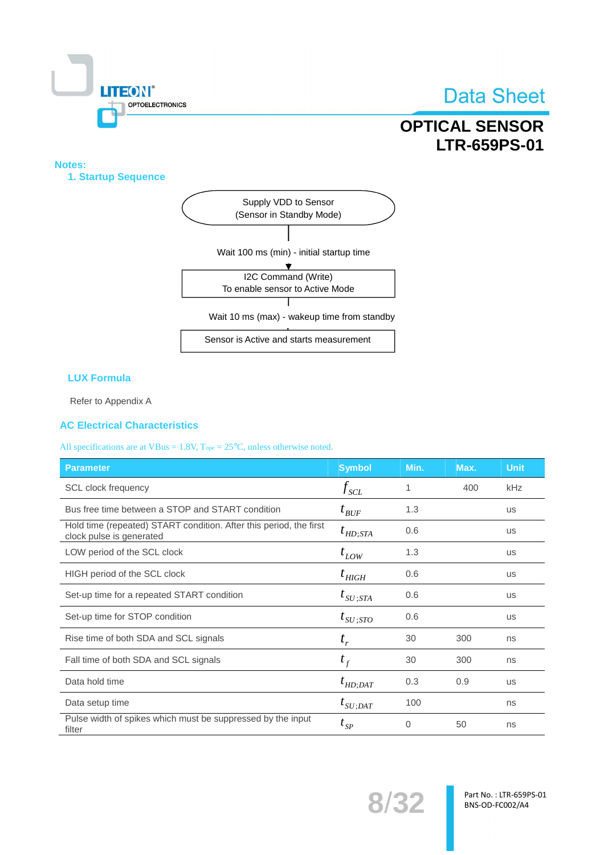

## **OPTICAL SENSOR LTR-659PS-01**

#### Notes:

1. Startup Sequence



Sensor is Active and starts measurement

#### **LUX Formula**

Refer to Appendix A

#### **AC Electrical Characteristics**

All specifications are at VBus =  $1.8V$ ,  $T_{ope} = 25°C$ , unless otherwise noted.

| <b>Parameter</b>                                                                               | <b>Symbol</b>                         | Min. | Max. | <b>Unit</b> |
|------------------------------------------------------------------------------------------------|---------------------------------------|------|------|-------------|
| <b>SCL</b> clock frequency                                                                     | $f_{\rm SCL}$                         | 1    | 400  | kHz         |
| Bus free time between a STOP and START condition                                               | $t_{\mathit{BUF}}$                    | 1.3  |      | <b>us</b>   |
| Hold time (repeated) START condition. After this period, the first<br>clock pulse is generated | $t_{HD;STA}$                          | 0.6  |      | <b>us</b>   |
| LOW period of the SCL clock                                                                    | $t_{LOW}$                             | 1.3  |      | <b>us</b>   |
| HIGH period of the SCL clock                                                                   | $t$ <sub>HIGH</sub>                   | 0.6  |      | <b>US</b>   |
| Set-up time for a repeated START condition                                                     | $t_{\mathit{SU} \, ;\! \mathit{STA}}$ | 0.6  |      | <b>US</b>   |
| Set-up time for STOP condition                                                                 | $t_{SU;STO}$                          | 0.6  |      | <b>US</b>   |
| Rise time of both SDA and SCL signals                                                          | $t_{r}$                               | 30   | 300  | ns          |
| Fall time of both SDA and SCL signals                                                          | $t_f$                                 | 30   | 300  | ns          |
| Data hold time                                                                                 | $t_{HD;DAT}$                          | 0.3  | 0.9  | <b>us</b>   |
| Data setup time                                                                                | $t_{SU;DAT}$                          | 100  |      | ns          |
| Pulse width of spikes which must be suppressed by the input<br>filter                          | $t_{SP}$                              | 0    | 50   | ns          |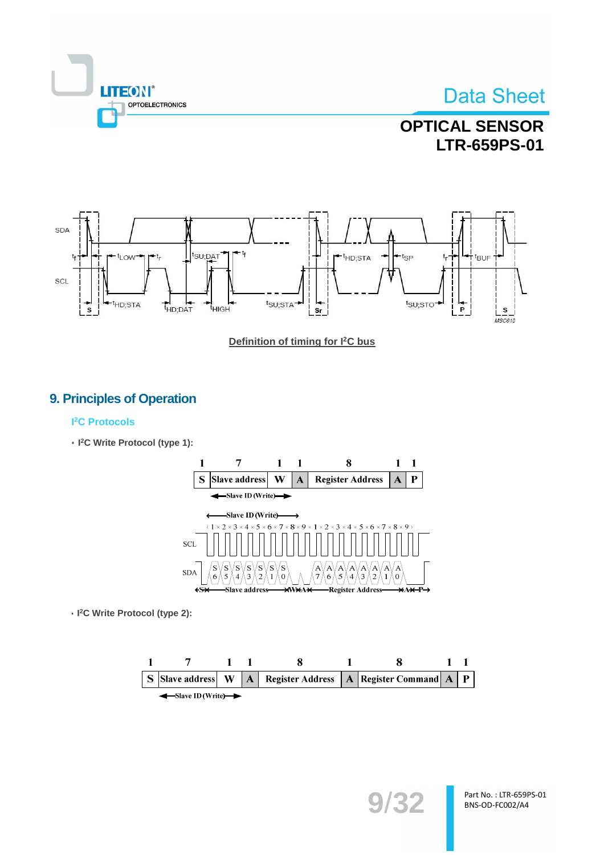

## **OPTICAL SENSOR LTR-659PS-01**



Definition of timing for I<sup>2</sup>C bus

## 9. Principles of Operation

#### **I<sup>2</sup>C Protocols**

· I<sup>2</sup>C Write Protocol (type 1):



· I<sup>2</sup>C Write Protocol (type 2):

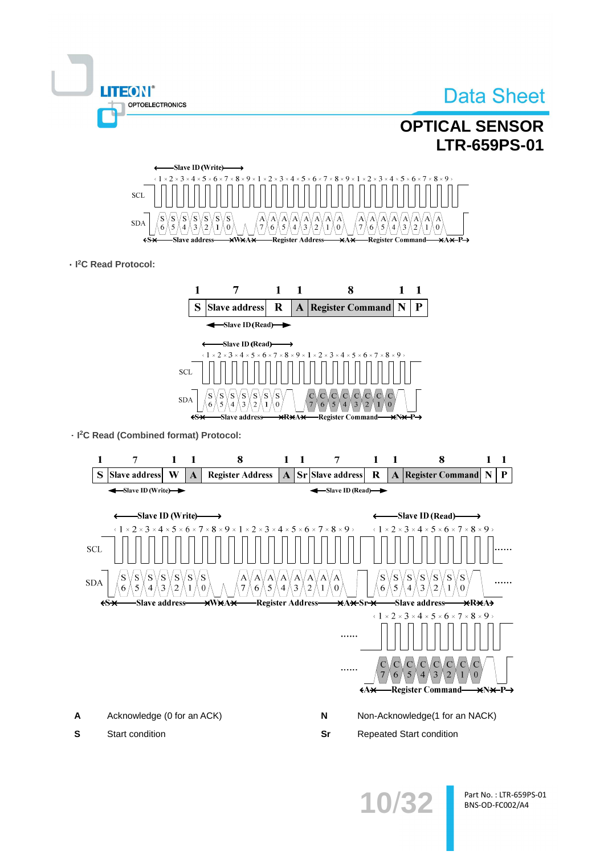

A Acknowledge (0 for an ACK)  $\mathsf{N}$ Non-Acknowledge(1 for an NACK) Sr **Repeated Start condition** 

 $\mathbf s$ Start condition

1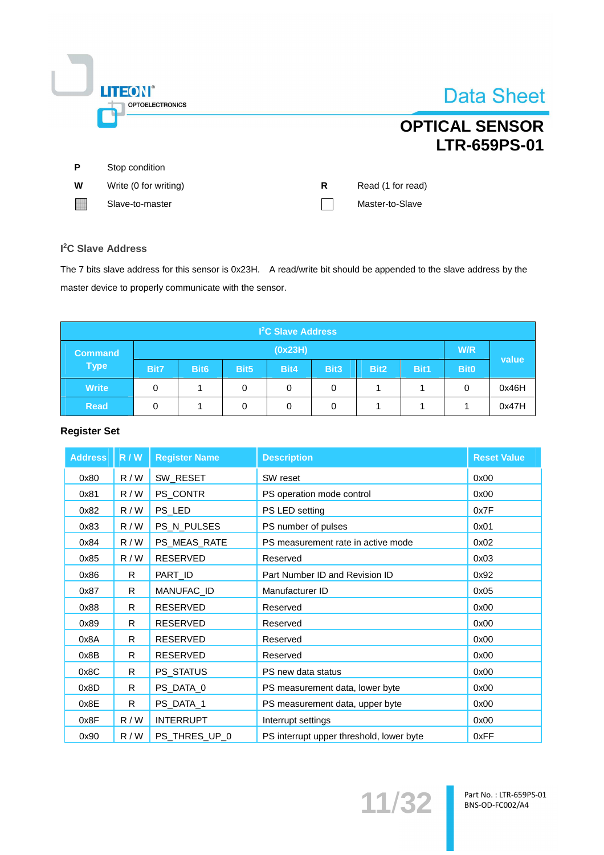|   | <b>LITEON®</b><br><b>OPTOELECTRONICS</b> |   | Data Sheet                                   |
|---|------------------------------------------|---|----------------------------------------------|
|   |                                          |   | <b>OPTICAL SENSOR</b><br><b>LTR-659PS-01</b> |
| P | Stop condition                           |   |                                              |
| W | Write (0 for writing)                    | R | Read (1 for read)                            |
|   | Slave-to-master                          |   | Master-to-Slave                              |
|   |                                          |   |                                              |

#### I<sup>2</sup>C Slave Address

 $\overline{\mathbb{I}}$ 

The 7 bits slave address for this sensor is 0x23H. A read/write bit should be appended to the slave address by the master device to properly communicate with the sensor.

| <b>I<sup>2</sup>C Slave Address</b> |         |                  |                  |      |                  |                  |      |             |       |
|-------------------------------------|---------|------------------|------------------|------|------------------|------------------|------|-------------|-------|
| <b>Command</b>                      | (0x23H) |                  |                  |      |                  |                  |      |             |       |
| <b>Type</b>                         | Bit7    | Bit <sub>6</sub> | Bit <sub>5</sub> | Bit4 | Bit <sub>3</sub> | Bit <sub>2</sub> | Bit1 | <b>Bit0</b> | value |
| <b>Write</b>                        | 0       |                  | 0                | 0    | 0                |                  |      | 0           | 0x46H |
| <b>Read</b>                         | 0       |                  | 0                | 0    |                  |                  |      |             | 0x47H |

### **Register Set**

| <b>Address</b> | R / W | <b>Register Name</b> | <b>Description</b>                       | <b>Reset Value</b> |
|----------------|-------|----------------------|------------------------------------------|--------------------|
| 0x80           | R/W   | SW_RESET             | SW reset                                 | 0x00               |
| 0x81           | R/W   | PS_CONTR             | PS operation mode control                | 0x00               |
| 0x82           | R/W   | PS_LED               | PS LED setting                           | 0x7F               |
| 0x83           | R/W   | PS_N_PULSES          | PS number of pulses                      | 0x01               |
| 0x84           | R/W   | PS_MEAS_RATE         | PS measurement rate in active mode       | 0x02               |
| 0x85           | R/W   | <b>RESERVED</b>      | Reserved                                 | 0x03               |
| 0x86           | R.    | PART_ID              | Part Number ID and Revision ID           | 0x92               |
| 0x87           | R.    | MANUFAC_ID           | Manufacturer ID                          | 0x05               |
| 0x88           | R.    | <b>RESERVED</b>      | Reserved                                 | 0x00               |
| 0x89           | R.    | <b>RESERVED</b>      | Reserved                                 | 0x00               |
| 0x8A           | R     | <b>RESERVED</b>      | Reserved                                 | 0x00               |
| 0x8B           | R     | <b>RESERVED</b>      | Reserved                                 | 0x00               |
| 0x8C           | R     | PS_STATUS            | PS new data status                       | 0x00               |
| 0x8D           | R.    | PS_DATA_0            | PS measurement data, lower byte          | 0x00               |
| 0x8E           | R.    | PS_DATA_1            | PS measurement data, upper byte          | 0x00               |
| 0x8F           | R/W   | <b>INTERRUPT</b>     | Interrupt settings                       | 0x00               |
| 0x90           | R/W   | PS_THRES_UP_0        | PS interrupt upper threshold, lower byte | 0xFF               |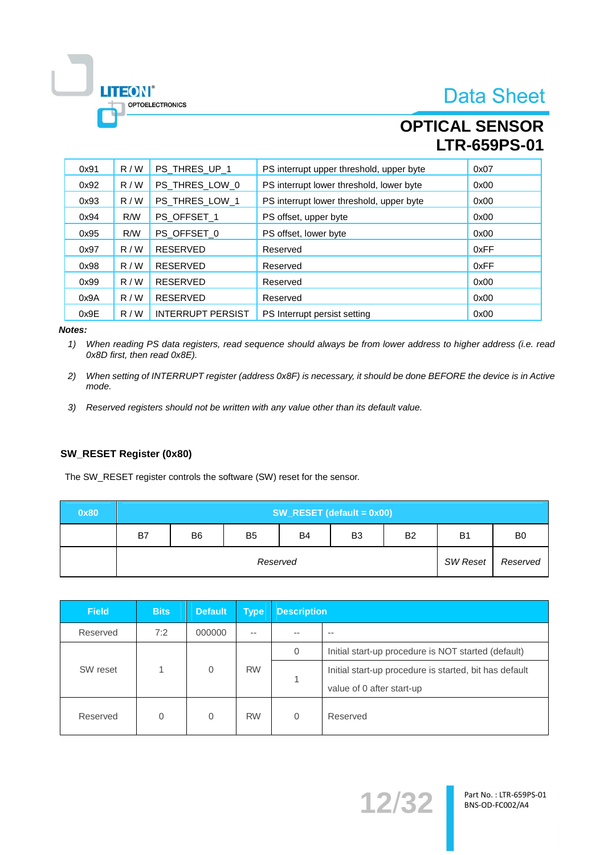**OPTICAL SENSOR LTR-659PS-01** 

| 0x91 | R/W | PS THRES UP 1            | PS interrupt upper threshold, upper byte | 0x07 |
|------|-----|--------------------------|------------------------------------------|------|
| 0x92 | R/W | PS_THRES_LOW_0           | PS interrupt lower threshold, lower byte | 0x00 |
| 0x93 | R/W | PS THRES LOW 1           | PS interrupt lower threshold, upper byte | 0x00 |
| 0x94 | R/W | PS_OFFSET_1              | PS offset, upper byte                    | 0x00 |
| 0x95 | R/W | PS_OFFSET_0              | PS offset, lower byte                    | 0x00 |
| 0x97 | R/W | <b>RESERVED</b>          | Reserved                                 | 0xFF |
| 0x98 | R/W | <b>RESERVED</b>          | Reserved                                 | 0xFF |
| 0x99 | R/W | <b>RESERVED</b>          | Reserved                                 | 0x00 |
| 0x9A | R/W | <b>RESERVED</b>          | Reserved                                 | 0x00 |
| 0x9E | R/W | <b>INTERRUPT PERSIST</b> | PS Interrupt persist setting             | 0x00 |

#### Notes:

 $\mathbb{L}$ 

LITEON®

OPTOELECTRONICS

When reading PS data registers, read sequence should always be from lower address to higher address (i.e. read  $1)$ 0x8D first, then read 0x8E).

- 2) When setting of INTERRUPT register (address 0x8F) is necessary, it should be done BEFORE the device is in Active mode.
- 3) Reserved registers should not be written with any value other than its default value.

#### SW\_RESET Register (0x80)

The SW\_RESET register controls the software (SW) reset for the sensor.

| 0x80 |    | $SW\_RESET$ (default = $0x00$ ) |                |           |                |                |                |                |  |  |  |
|------|----|---------------------------------|----------------|-----------|----------------|----------------|----------------|----------------|--|--|--|
|      | B7 | B <sub>6</sub>                  | B <sub>5</sub> | <b>B4</b> | B <sub>3</sub> | B <sub>2</sub> | B <sub>1</sub> | B <sub>0</sub> |  |  |  |
|      |    |                                 | SW Reset       | Reserved  |                |                |                |                |  |  |  |

| <b>Field</b> | <b>Bits</b> | Default        | <b>Type</b> | <b>Description</b> |                                                                                     |  |
|--------------|-------------|----------------|-------------|--------------------|-------------------------------------------------------------------------------------|--|
| Reserved     | 7:2         | 000000         | $- -$       | --                 | $- -$                                                                               |  |
|              |             | $\overline{0}$ | <b>RW</b>   | 0                  | Initial start-up procedure is NOT started (default)                                 |  |
| SW reset     |             |                |             | 1                  | Initial start-up procedure is started, bit has default<br>value of 0 after start-up |  |
| Reserved     | 0           | $\Omega$       | <b>RW</b>   | $\overline{0}$     | Reserved                                                                            |  |

12/32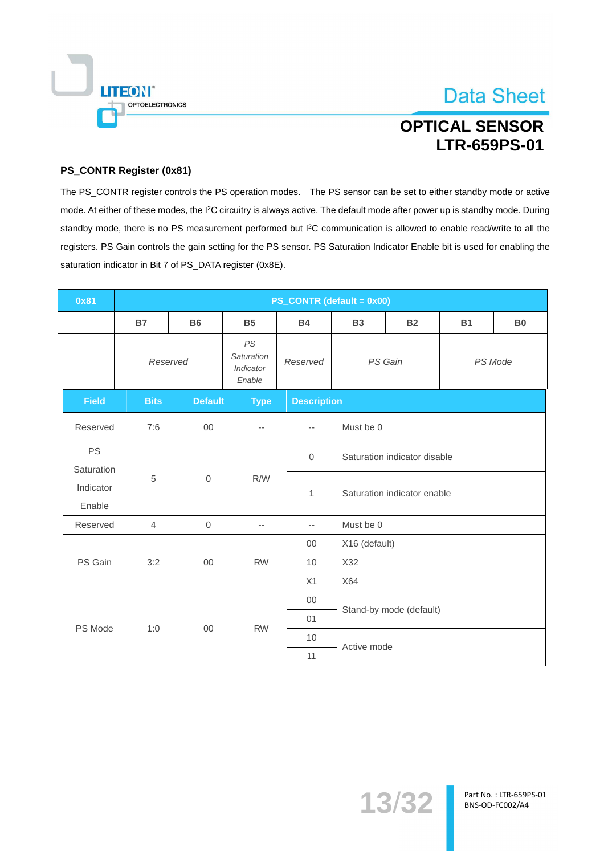

# **OPTICAL SENSOR LTR-659PS-01**

#### PS\_CONTR Register (0x81)

The PS\_CONTR register controls the PS operation modes. The PS sensor can be set to either standby mode or active mode. At either of these modes, the <sup>12</sup>C circuitry is always active. The default mode after power up is standby mode. During standby mode, there is no PS measurement performed but I<sup>2</sup>C communication is allowed to enable read/write to all the registers. PS Gain controls the gain setting for the PS sensor. PS Saturation Indicator Enable bit is used for enabling the saturation indicator in Bit 7 of PS\_DATA register (0x8E).

| 0x81                    |                |                |                                         |                          | PS_CONTR (default = 0x00) |                              |           |                |  |
|-------------------------|----------------|----------------|-----------------------------------------|--------------------------|---------------------------|------------------------------|-----------|----------------|--|
|                         | <b>B7</b>      | <b>B6</b>      | <b>B5</b>                               | <b>B4</b>                | <b>B3</b>                 | <b>B2</b>                    | <b>B1</b> | B <sub>0</sub> |  |
|                         |                | Reserved       | PS<br>Saturation<br>Indicator<br>Enable | Reserved                 |                           | PS Gain                      |           | PS Mode        |  |
| <b>Field</b>            | <b>Bits</b>    | <b>Default</b> | <b>Type</b>                             | <b>Description</b>       |                           |                              |           |                |  |
| Reserved                | 7:6            | $00\,$         | $\overline{\phantom{a}}$                | $\overline{\phantom{a}}$ | Must be 0                 |                              |           |                |  |
| <b>PS</b><br>Saturation |                |                |                                         | $\mathbf{0}$             |                           | Saturation indicator disable |           |                |  |
| Indicator<br>Enable     | 5              | $\mathbf{0}$   | R/W                                     | 1                        |                           | Saturation indicator enable  |           |                |  |
| Reserved                | $\overline{4}$ | $\mathbf 0$    | $\overline{\phantom{a}}$                | $\overline{\phantom{a}}$ | Must be 0                 |                              |           |                |  |
|                         |                |                |                                         | $00\,$                   | X16 (default)             |                              |           |                |  |
| PS Gain                 | 3:2            | $00\,$         | <b>RW</b>                               | 10                       | X32                       |                              |           |                |  |
|                         |                |                |                                         | X1                       | X64                       |                              |           |                |  |
|                         |                |                |                                         | $00\,$                   |                           |                              |           |                |  |
|                         |                |                |                                         | 01                       |                           | Stand-by mode (default)      |           |                |  |
|                         | 1:0<br>PS Mode | 00             | <b>RW</b>                               | 10                       |                           |                              |           |                |  |
|                         |                |                |                                         | 11                       |                           | Active mode                  |           |                |  |

13/32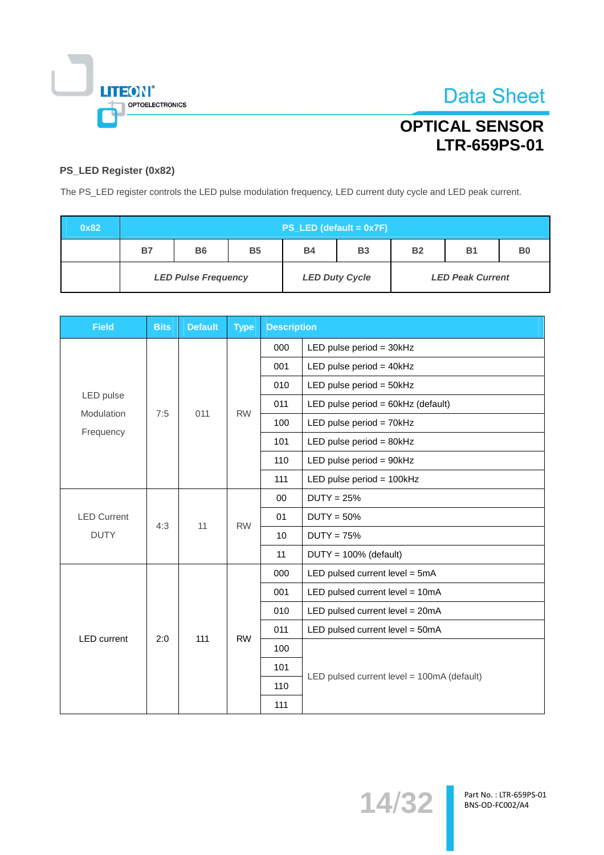

**Data Sheet** 

## PS\_LED Register (0x82)

The PS\_LED register controls the LED pulse modulation frequency, LED current duty cycle and LED peak current.

| 0x82 |                            | $PS$ <sub>LED</sub> (default = $0x7F$ ) |           |           |                       |                |                         |                |  |  |
|------|----------------------------|-----------------------------------------|-----------|-----------|-----------------------|----------------|-------------------------|----------------|--|--|
|      | <b>B7</b>                  | <b>B6</b>                               | <b>B5</b> | <b>B4</b> | <b>B3</b>             | B <sub>2</sub> | <b>B1</b>               | B <sub>0</sub> |  |  |
|      | <b>LED Pulse Frequency</b> |                                         |           |           | <b>LED Duty Cycle</b> |                | <b>LED Peak Current</b> |                |  |  |

| <b>Field</b>            | <b>Bits</b> | <b>Default</b> | <b>Type</b> | <b>Description</b> |                                            |
|-------------------------|-------------|----------------|-------------|--------------------|--------------------------------------------|
|                         |             |                |             | 000                | LED pulse period = $30kHz$                 |
|                         |             |                |             | 001                | LED pulse period = $40k$ Hz                |
|                         |             |                |             | 010                | LED pulse period = $50kHz$                 |
| LED pulse<br>Modulation | 7:5         | 011            | <b>RW</b>   | 011                | LED pulse period = 60kHz (default)         |
| Frequency               |             |                |             | 100                | LED pulse period = 70kHz                   |
|                         |             |                |             | 101                | LED pulse period = $80kHz$                 |
|                         |             |                |             | 110                | LED pulse period = 90kHz                   |
|                         |             |                |             | 111                | LED pulse period = 100kHz                  |
|                         |             | 11             |             | 00                 | $DUTY = 25%$                               |
| <b>LED Current</b>      | 4:3         |                | <b>RW</b>   | 01                 | $DUTY = 50%$                               |
| <b>DUTY</b>             |             |                |             | 10                 | $DUTY = 75%$                               |
|                         |             |                |             | 11                 | $DUTY = 100\%$ (default)                   |
|                         |             |                |             | 000                | LED pulsed current level $=$ 5mA           |
|                         |             |                |             | 001                | LED pulsed current level = 10mA            |
|                         |             |                |             | 010                | LED pulsed current level = 20mA            |
| <b>LED</b> current      | 2:0         | 111            | <b>RW</b>   | 011                | LED pulsed current level = 50mA            |
|                         |             |                |             | 100                |                                            |
|                         |             |                |             | 101                | LED pulsed current level = 100mA (default) |
|                         |             |                |             | 110                |                                            |
|                         |             |                |             | 111                |                                            |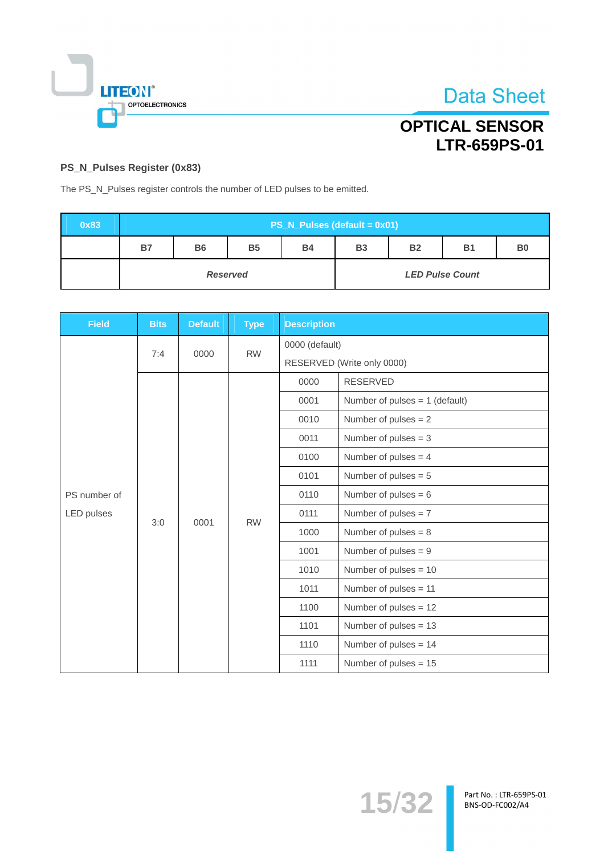

# **OPTICAL SENSOR** LTR-659PS-01

#### PS\_N\_Pulses Register (0x83)

The PS\_N\_Pulses register controls the number of LED pulses to be emitted.

| 0x83 |    | $PS_N_Pules (default = 0x01)$ |                 |           |                        |           |           |                |  |  |
|------|----|-------------------------------|-----------------|-----------|------------------------|-----------|-----------|----------------|--|--|
|      | B7 | <b>B6</b>                     | <b>B5</b>       | <b>B4</b> | <b>B3</b>              | <b>B2</b> | <b>B1</b> | B <sub>0</sub> |  |  |
|      |    |                               | <b>Reserved</b> |           | <b>LED Pulse Count</b> |           |           |                |  |  |

| <b>Field</b> | <b>Bits</b> | <b>Default</b> | <b>Type</b> | <b>Description</b> |                                  |  |  |
|--------------|-------------|----------------|-------------|--------------------|----------------------------------|--|--|
|              |             | 0000           | <b>RW</b>   | 0000 (default)     |                                  |  |  |
|              | 7:4         |                |             |                    | RESERVED (Write only 0000)       |  |  |
|              |             |                |             | 0000               | <b>RESERVED</b>                  |  |  |
|              |             |                |             | 0001               | Number of pulses $= 1$ (default) |  |  |
|              |             |                |             | 0010               | Number of pulses $= 2$           |  |  |
|              |             |                |             | 0011               | Number of pulses $=$ 3           |  |  |
|              | 3:0         |                |             | 0100               | Number of pulses $= 4$           |  |  |
|              |             |                | <b>RW</b>   | 0101               | Number of pulses $= 5$           |  |  |
| PS number of |             |                |             | 0110               | Number of pulses $= 6$           |  |  |
| LED pulses   |             |                |             | 0111               | Number of pulses $= 7$           |  |  |
|              |             | 0001           |             | 1000               | Number of pulses $= 8$           |  |  |
|              |             |                |             | 1001               | Number of pulses $= 9$           |  |  |
|              |             |                |             | 1010               | Number of pulses $= 10$          |  |  |
|              |             |                |             | 1011               | Number of pulses = 11            |  |  |
|              |             |                |             | 1100               | Number of pulses = 12            |  |  |
|              |             |                |             | 1101               | Number of pulses $= 13$          |  |  |
|              |             |                |             | 1110               | Number of pulses $= 14$          |  |  |
|              |             |                |             | 1111               | Number of pulses $= 15$          |  |  |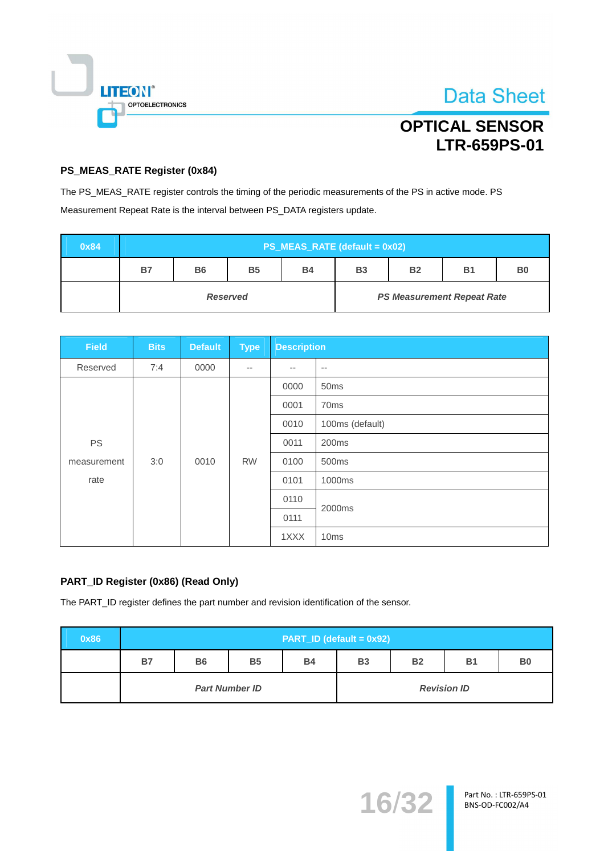

# **OPTICAL SENSOR LTR-659PS-01**

#### PS\_MEAS\_RATE Register (0x84)

The PS\_MEAS\_RATE register controls the timing of the periodic measurements of the PS in active mode. PS Measurement Repeat Rate is the interval between PS\_DATA registers update.

| 0x84 |    | $PS$ _MEAS_RATE (default = 0x02) |                 |           |           |           |                                   |                |  |
|------|----|----------------------------------|-----------------|-----------|-----------|-----------|-----------------------------------|----------------|--|
|      | B7 | <b>B6</b>                        | <b>B5</b>       | <b>B4</b> | <b>B3</b> | <b>B2</b> | <b>B1</b>                         | B <sub>0</sub> |  |
|      |    |                                  | <b>Reserved</b> |           |           |           | <b>PS Measurement Repeat Rate</b> |                |  |

| <b>Field</b> | <b>Bits</b> | <b>Default</b> | <b>Type</b> | <b>Description</b> |                  |  |
|--------------|-------------|----------------|-------------|--------------------|------------------|--|
| Reserved     | 7:4         | 0000           | $-$         | $- -$              | $\sim$ $-$       |  |
|              |             |                |             | 0000               | 50ms             |  |
|              |             |                |             | 0001               | 70ms             |  |
|              |             |                |             | 0010               | 100ms (default)  |  |
| <b>PS</b>    |             |                |             | 0011               | 200ms            |  |
| measurement  | 3:0         | 0010           | <b>RW</b>   | 0100               | 500ms            |  |
| rate         |             |                |             | 0101               | 1000ms           |  |
|              |             |                |             | 0110               | 2000ms           |  |
|              |             |                |             | 0111               |                  |  |
|              |             |                |             | 1XXX               | 10 <sub>ms</sub> |  |

#### PART\_ID Register (0x86) (Read Only)

The PART\_ID register defines the part number and revision identification of the sensor.

| 0x86 |    | <b>PART_ID (default = 0x92)</b> |                       |           |                    |           |           |                |  |  |
|------|----|---------------------------------|-----------------------|-----------|--------------------|-----------|-----------|----------------|--|--|
|      | B7 | <b>B6</b>                       | <b>B5</b>             | <b>B4</b> | <b>B3</b>          | <b>B2</b> | <b>B1</b> | B <sub>0</sub> |  |  |
|      |    |                                 | <b>Part Number ID</b> |           | <b>Revision ID</b> |           |           |                |  |  |

16/32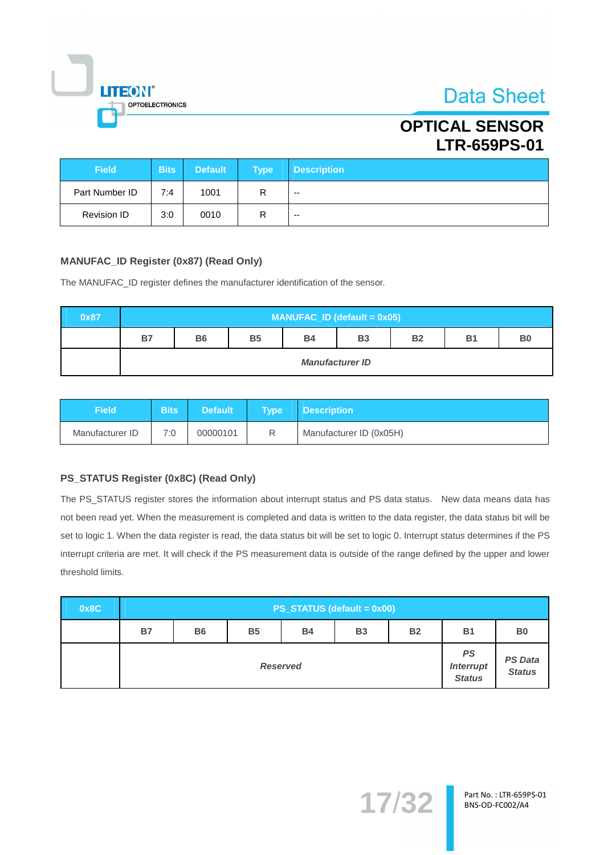

## **OPTICAL SENSOR LTR-659PS-01**

| <b>Field</b>       | <b>Bits</b> | <b>Default</b> | <b>Type</b> | <b>Description</b>       |
|--------------------|-------------|----------------|-------------|--------------------------|
| Part Number ID     | 7:4         | 1001           | R           | $\overline{\phantom{a}}$ |
| <b>Revision ID</b> | 3:0         | 0010           | R           | $- -$                    |

#### **MANUFAC\_ID Register (0x87) (Read Only)**

The MANUFAC\_ID register defines the manufacturer identification of the sensor.

| 0x87 |    | $MANUFACID$ (default = 0x05)                                                                 |  |  |  |  |  |  |  |  |  |  |
|------|----|----------------------------------------------------------------------------------------------|--|--|--|--|--|--|--|--|--|--|
|      | B7 | <b>B5</b><br><b>B2</b><br><b>B6</b><br><b>B4</b><br><b>B3</b><br><b>B1</b><br>B <sub>0</sub> |  |  |  |  |  |  |  |  |  |  |
|      |    | <b>Manufacturer ID</b>                                                                       |  |  |  |  |  |  |  |  |  |  |

| Field           | <b>Bits</b> | <b>Default</b> | <b>Tvpe</b> | <b>Description</b>      |
|-----------------|-------------|----------------|-------------|-------------------------|
| Manufacturer ID | 7:0         | 00000101       | R           | Manufacturer ID (0x05H) |

#### PS\_STATUS Register (0x8C) (Read Only)

The PS\_STATUS register stores the information about interrupt status and PS data status. New data means data has not been read yet. When the measurement is completed and data is written to the data register, the data status bit will be set to logic 1. When the data register is read, the data status bit will be set to logic 0. Interrupt status determines if the PS interrupt criteria are met. It will check if the PS measurement data is outside of the range defined by the upper and lower threshold limits.

| 0x8C | $PS\_STATUS$ (default = 0x00) |                                     |           |           |           |           |           |                |  |  |  |
|------|-------------------------------|-------------------------------------|-----------|-----------|-----------|-----------|-----------|----------------|--|--|--|
|      | <b>B7</b>                     | <b>B6</b>                           | <b>B5</b> | <b>B4</b> | <b>B3</b> | <b>B2</b> | <b>B1</b> | B <sub>0</sub> |  |  |  |
|      |                               | <b>Interrupt</b><br><b>Reserved</b> |           |           |           |           |           |                |  |  |  |

17/32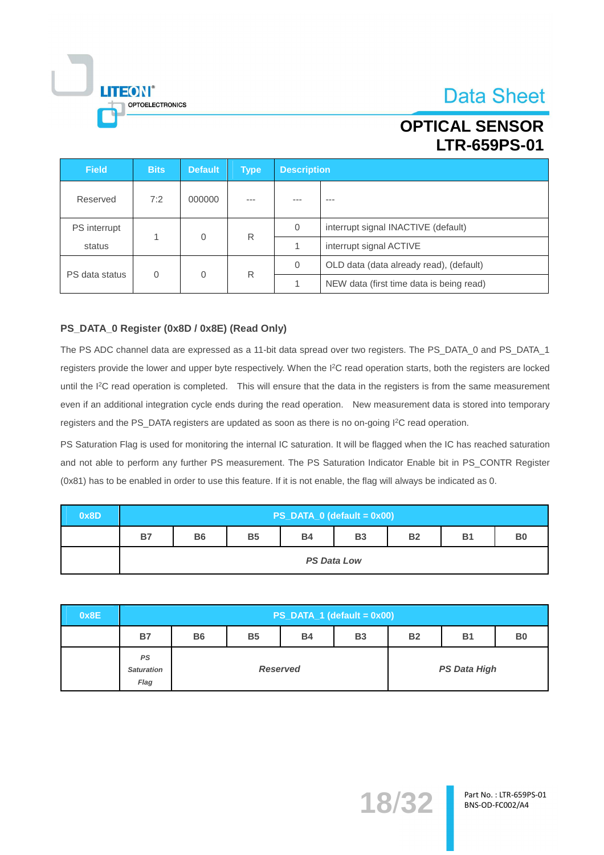

**LTR-659PS-01** 

| <b>Field</b>   | <b>Bits</b> | <b>Default</b> | <b>Type</b> |                | <b>Description</b>                       |  |  |  |  |
|----------------|-------------|----------------|-------------|----------------|------------------------------------------|--|--|--|--|
| Reserved       | 7:2         | 000000         | ---         |                | ---                                      |  |  |  |  |
| PS interrupt   |             |                | R           | $\overline{0}$ | interrupt signal INACTIVE (default)      |  |  |  |  |
| status         |             | 0              |             |                | interrupt signal ACTIVE                  |  |  |  |  |
|                |             |                |             | 0              | OLD data (data already read), (default)  |  |  |  |  |
| PS data status | 0           | 0              | R           |                | NEW data (first time data is being read) |  |  |  |  |

#### PS\_DATA\_0 Register (0x8D / 0x8E) (Read Only)

**LITEON®** 

OPTOELECTRONICS

The PS ADC channel data are expressed as a 11-bit data spread over two registers. The PS\_DATA\_0 and PS\_DATA\_1 registers provide the lower and upper byte respectively. When the I<sup>2</sup>C read operation starts, both the registers are locked until the I<sup>2</sup>C read operation is completed. This will ensure that the data in the registers is from the same measurement even if an additional integration cycle ends during the read operation. New measurement data is stored into temporary registers and the PS\_DATA registers are updated as soon as there is no on-going I<sup>2</sup>C read operation.

PS Saturation Flag is used for monitoring the internal IC saturation. It will be flagged when the IC has reached saturation and not able to perform any further PS measurement. The PS Saturation Indicator Enable bit in PS\_CONTR Register (0x81) has to be enabled in order to use this feature. If it is not enable, the flag will always be indicated as 0.

| 0x8D |    | PS_DATA_0 (default = 0x00)                                                                   |  |  |  |  |  |  |  |  |  |  |
|------|----|----------------------------------------------------------------------------------------------|--|--|--|--|--|--|--|--|--|--|
|      | B7 | <b>B4</b><br>B <sub>0</sub><br><b>B5</b><br><b>B3</b><br><b>B2</b><br><b>B1</b><br><b>B6</b> |  |  |  |  |  |  |  |  |  |  |
|      |    | <b>PS Data Low</b>                                                                           |  |  |  |  |  |  |  |  |  |  |

| 0x8E | $PS$ _DATA_1 (default = 0x00)          |           |           |                 |           |                |                     |  |  |  |  |
|------|----------------------------------------|-----------|-----------|-----------------|-----------|----------------|---------------------|--|--|--|--|
|      | <b>B7</b>                              | <b>B6</b> | <b>B5</b> | <b>B2</b>       | <b>B1</b> | B <sub>0</sub> |                     |  |  |  |  |
|      | <b>PS</b><br><b>Saturation</b><br>Flag |           |           | <b>Reserved</b> |           |                | <b>PS Data High</b> |  |  |  |  |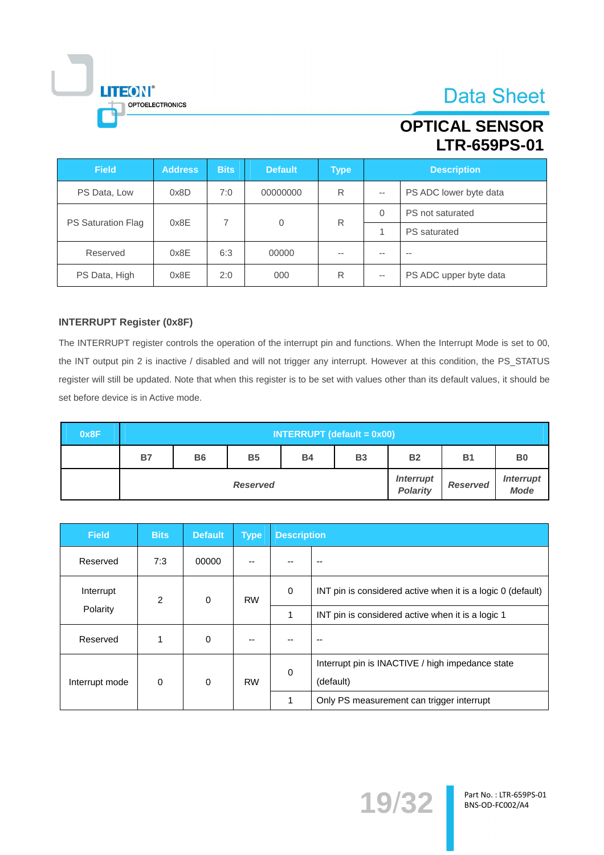## **OPTICAL SENSOR LTR-659PS-01**

| <b>Field</b>       | <b>Address</b> | <b>Bits</b> | <b>Default</b> | <b>Type</b> |          | <b>Description</b>     |
|--------------------|----------------|-------------|----------------|-------------|----------|------------------------|
| PS Data, Low       | 0x8D           | 7:0         | 00000000       | R           | $-$      | PS ADC lower byte data |
|                    | 0x8E           | 7           |                | R           | $\Omega$ | PS not saturated       |
| PS Saturation Flag |                | $\mathbf 0$ |                |             |          | <b>PS</b> saturated    |
| Reserved           | 0x8E           | 6:3         | 00000          | $- -$       | $- -$    | $- -$                  |
| PS Data, High      | 0x8E           | 2:0         | 000            | R           | $-$      | PS ADC upper byte data |

#### **INTERRUPT Register (0x8F)**

**LITEON®** 

OPTOELECTRONICS

The INTERRUPT register controls the operation of the interrupt pin and functions. When the Interrupt Mode is set to 00, the INT output pin 2 is inactive / disabled and will not trigger any interrupt. However at this condition, the PS\_STATUS register will still be updated. Note that when this register is to be set with values other than its default values, it should be set before device is in Active mode.

| 0x8F |           | $INTERRUPT$ (default = $0x00$ )                                                              |                 |                                     |                 |                                 |  |  |  |  |  |  |  |
|------|-----------|----------------------------------------------------------------------------------------------|-----------------|-------------------------------------|-----------------|---------------------------------|--|--|--|--|--|--|--|
|      | <b>B7</b> | <b>B5</b><br><b>B4</b><br><b>B1</b><br>B <sub>0</sub><br><b>B6</b><br><b>B2</b><br><b>B3</b> |                 |                                     |                 |                                 |  |  |  |  |  |  |  |
|      |           |                                                                                              | <b>Reserved</b> | <b>Interrupt</b><br><b>Polarity</b> | <b>Reserved</b> | <b>Interrupt</b><br><b>Mode</b> |  |  |  |  |  |  |  |

| <b>Field</b>   | <b>Bits</b> | <b>Default</b> | <b>Type</b> | <b>Description</b> |                                                             |
|----------------|-------------|----------------|-------------|--------------------|-------------------------------------------------------------|
| Reserved       | 7:3         | 00000          |             |                    |                                                             |
| Interrupt      | 2           | $\Omega$       | <b>RW</b>   | $\mathbf 0$        | INT pin is considered active when it is a logic 0 (default) |
| Polarity       |             |                |             | 1                  | INT pin is considered active when it is a logic 1           |
| Reserved       | 1           | $\mathbf 0$    |             |                    | --                                                          |
|                |             |                |             | $\Omega$           | Interrupt pin is INACTIVE / high impedance state            |
| Interrupt mode | $\mathbf 0$ | $\Omega$       | <b>RW</b>   |                    | (default)                                                   |
|                |             |                |             |                    | Only PS measurement can trigger interrupt                   |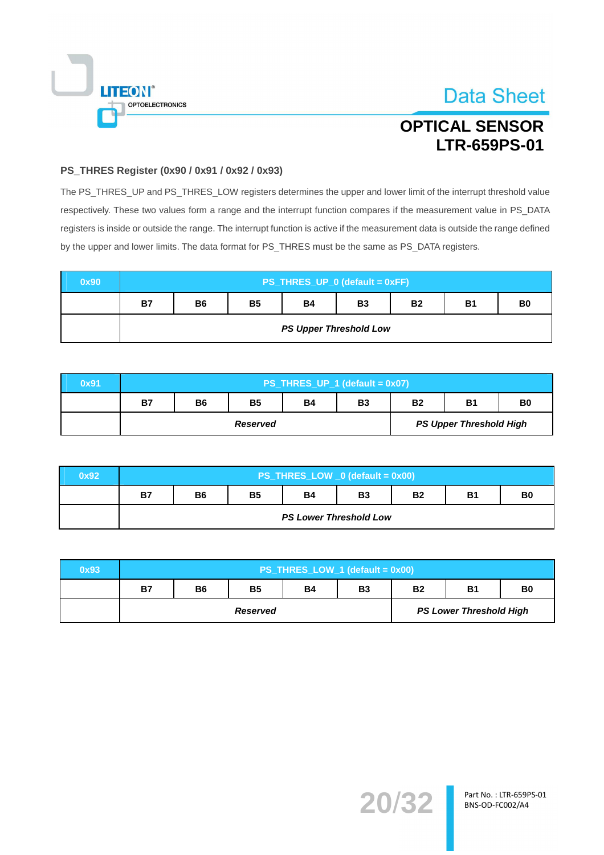

# **OPTICAL SENSOR LTR-659PS-01**

#### PS\_THRES Register (0x90 / 0x91 / 0x92 / 0x93)

The PS\_THRES\_UP and PS\_THRES\_LOW registers determines the upper and lower limit of the interrupt threshold value respectively. These two values form a range and the interrupt function compares if the measurement value in PS\_DATA registers is inside or outside the range. The interrupt function is active if the measurement data is outside the range defined by the upper and lower limits. The data format for PS\_THRES must be the same as PS\_DATA registers.

| 0x90 |           | PS_THRES_UP_0 (default = 0xFF)                                                   |  |                               |  |  |  |  |  |  |  |  |
|------|-----------|----------------------------------------------------------------------------------|--|-------------------------------|--|--|--|--|--|--|--|--|
|      | <b>B7</b> | <b>B5</b><br><b>B4</b><br><b>B1</b><br><b>B2</b><br><b>B6</b><br><b>B3</b><br>B0 |  |                               |  |  |  |  |  |  |  |  |
|      |           |                                                                                  |  | <b>PS Upper Threshold Low</b> |  |  |  |  |  |  |  |  |

| 0x91 |           | PS_THRES_UP_1 (default = 0x07)                                                                    |                 |  |  |                                |  |  |  |  |  |  |
|------|-----------|---------------------------------------------------------------------------------------------------|-----------------|--|--|--------------------------------|--|--|--|--|--|--|
|      | <b>B7</b> | <b>B5</b><br><b>B6</b><br><b>B2</b><br><b>B1</b><br>B <sub>0</sub><br><b>B4</b><br>B <sub>3</sub> |                 |  |  |                                |  |  |  |  |  |  |
|      |           |                                                                                                   | <b>Reserved</b> |  |  | <b>PS Upper Threshold High</b> |  |  |  |  |  |  |

| 0x92 |           | $PS_$ THRES_LOW $_0$ (default = 0x00)                                                        |  |                               |  |  |  |  |  |  |  |  |
|------|-----------|----------------------------------------------------------------------------------------------|--|-------------------------------|--|--|--|--|--|--|--|--|
|      | <b>B7</b> | <b>B5</b><br><b>B4</b><br><b>B2</b><br><b>B1</b><br>B <sub>0</sub><br><b>B3</b><br><b>B6</b> |  |                               |  |  |  |  |  |  |  |  |
|      |           |                                                                                              |  | <b>PS Lower Threshold Low</b> |  |  |  |  |  |  |  |  |

| 0x93 | PS_THRES_LOW_1 (default = 0x00) |           |           |           |           |           |                                |                |
|------|---------------------------------|-----------|-----------|-----------|-----------|-----------|--------------------------------|----------------|
|      | <b>B7</b>                       | <b>B6</b> | <b>B5</b> | <b>B4</b> | <b>B3</b> | <b>B2</b> | <b>B1</b>                      | B <sub>0</sub> |
|      | <b>Reserved</b>                 |           |           |           |           |           | <b>PS Lower Threshold High</b> |                |

**20/32**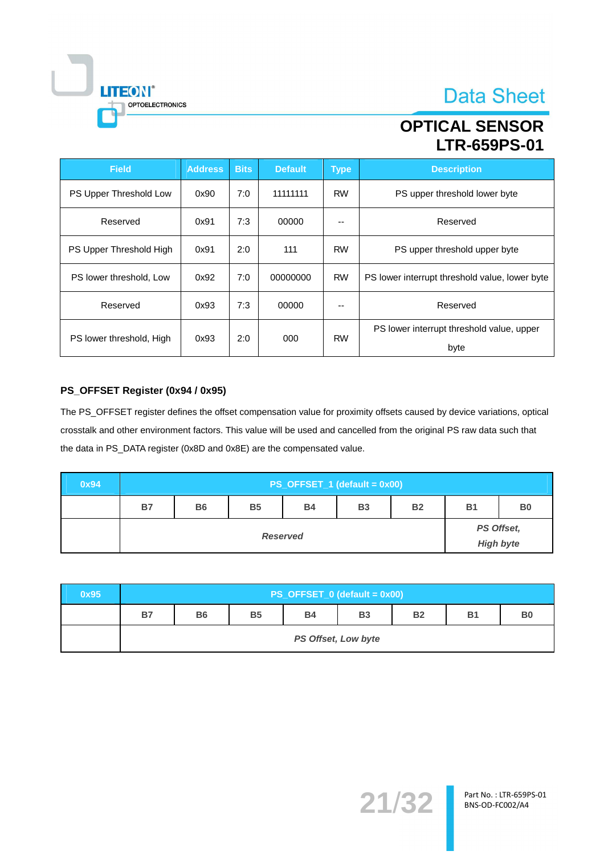## **OPTICAL SENSOR LTR-659PS-01**

| <b>Field</b>             | <b>Address</b> | <b>Bits</b> | <b>Default</b> | <b>Type</b> | <b>Description</b>                                |
|--------------------------|----------------|-------------|----------------|-------------|---------------------------------------------------|
| PS Upper Threshold Low   | 0x90           | 7:0         | 11111111       | <b>RW</b>   | PS upper threshold lower byte                     |
| Reserved                 | 0x91           | 7:3         | 00000          | --          | Reserved                                          |
| PS Upper Threshold High  | 0x91           | 2:0         | 111            | <b>RW</b>   | PS upper threshold upper byte                     |
| PS lower threshold, Low  | 0x92           | 7:0         | 00000000       | <b>RW</b>   | PS lower interrupt threshold value, lower byte    |
| Reserved                 | 0x93           | 7:3         | 00000          | --          | Reserved                                          |
| PS lower threshold, High | 0x93           | 2:0         | 000            | <b>RW</b>   | PS lower interrupt threshold value, upper<br>byte |

#### PS\_OFFSET Register (0x94 / 0x95)

 $\overline{\phantom{a}}$ 

**LITEON**®

OPTOELECTRONICS

The PS\_OFFSET register defines the offset compensation value for proximity offsets caused by device variations, optical crosstalk and other environment factors. This value will be used and cancelled from the original PS raw data such that the data in PS\_DATA register (0x8D and 0x8E) are the compensated value.

| 0x94 | $PS_OFFSET_1$ (default = 0x00) |           |           |           |           |           |           |                                |
|------|--------------------------------|-----------|-----------|-----------|-----------|-----------|-----------|--------------------------------|
|      | B7                             | <b>B6</b> | <b>B5</b> | <b>B4</b> | <b>B3</b> | <b>B2</b> | <b>B1</b> | B <sub>0</sub>                 |
|      | <b>Reserved</b>                |           |           |           |           |           |           | PS Offset,<br><b>High byte</b> |

| 0x95 | $PS_OFFSET_0$ (default = 0x00) |           |           |           |           |           |           |                |
|------|--------------------------------|-----------|-----------|-----------|-----------|-----------|-----------|----------------|
|      | <b>B7</b>                      | <b>B6</b> | <b>B5</b> | <b>B4</b> | <b>B3</b> | <b>B2</b> | <b>B1</b> | B <sub>0</sub> |
|      | PS Offset, Low byte            |           |           |           |           |           |           |                |

21/32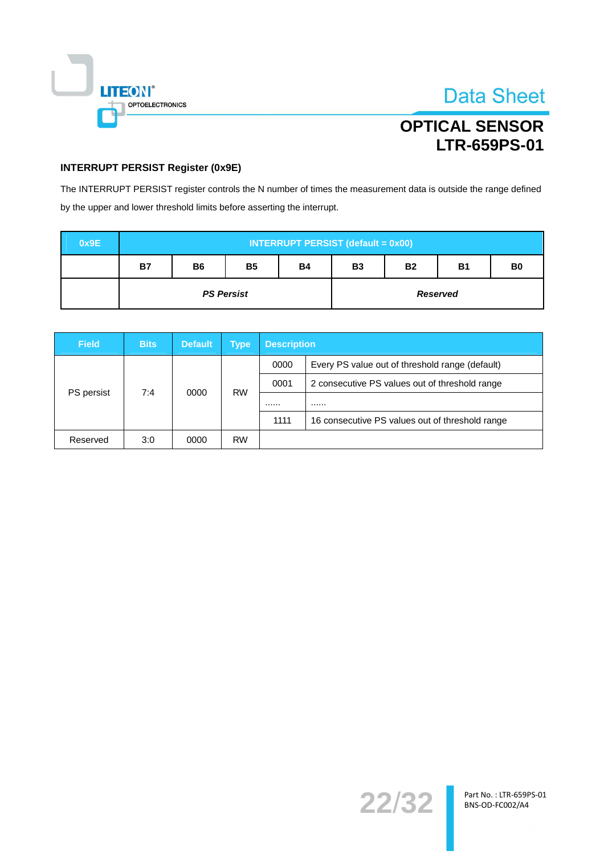

**Data Sheet** 

## **INTERRUPT PERSIST Register (0x9E)**

The INTERRUPT PERSIST register controls the N number of times the measurement data is outside the range defined by the upper and lower threshold limits before asserting the interrupt.

| 0x9E | <b>INTERRUPT PERSIST (default = 0x00)</b> |           |           |           |           |           |                 |                |
|------|-------------------------------------------|-----------|-----------|-----------|-----------|-----------|-----------------|----------------|
|      | <b>B7</b>                                 | <b>B6</b> | <b>B5</b> | <b>B4</b> | <b>B3</b> | <b>B2</b> | <b>B1</b>       | B <sub>0</sub> |
|      | <b>PS Persist</b>                         |           |           |           |           |           | <b>Reserved</b> |                |

| <b>Field</b>      | <b>Bits</b> | <b>Default</b> | <b>Type</b> | <b>Description</b> |                                                 |  |
|-------------------|-------------|----------------|-------------|--------------------|-------------------------------------------------|--|
| PS persist<br>7:4 |             | 0000           | <b>RW</b>   | 0000               | Every PS value out of threshold range (default) |  |
|                   |             |                |             | 0001               | 2 consecutive PS values out of threshold range  |  |
|                   |             |                |             |                    |                                                 |  |
|                   |             |                |             | 1111               | 16 consecutive PS values out of threshold range |  |
| Reserved          | 3:0         | 0000           | <b>RW</b>   |                    |                                                 |  |

22/32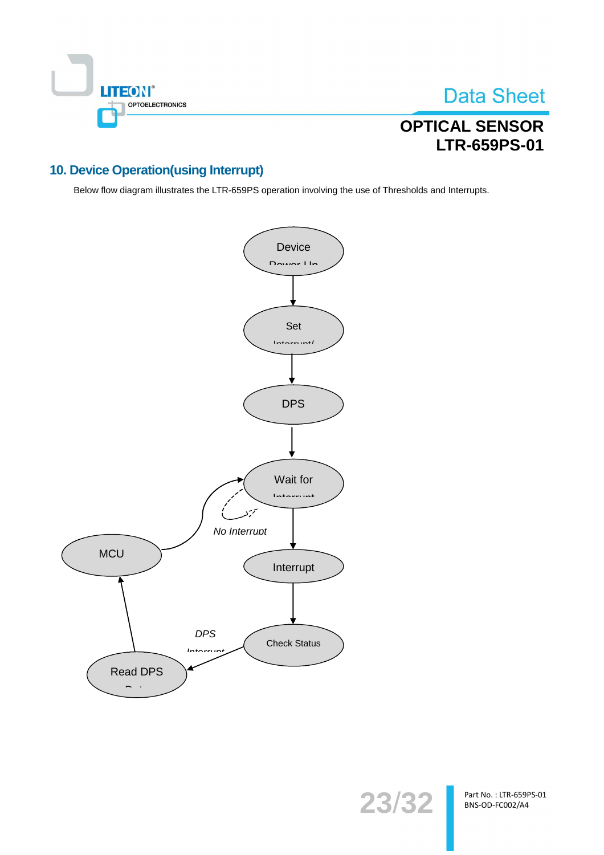

**Data Sheet** 

## **10. Device Operation(using Interrupt)**

Below flow diagram illustrates the LTR-659PS operation involving the use of Thresholds and Interrupts.



Part No.: LTR-659PS-01 BNS-OD-FC002/A4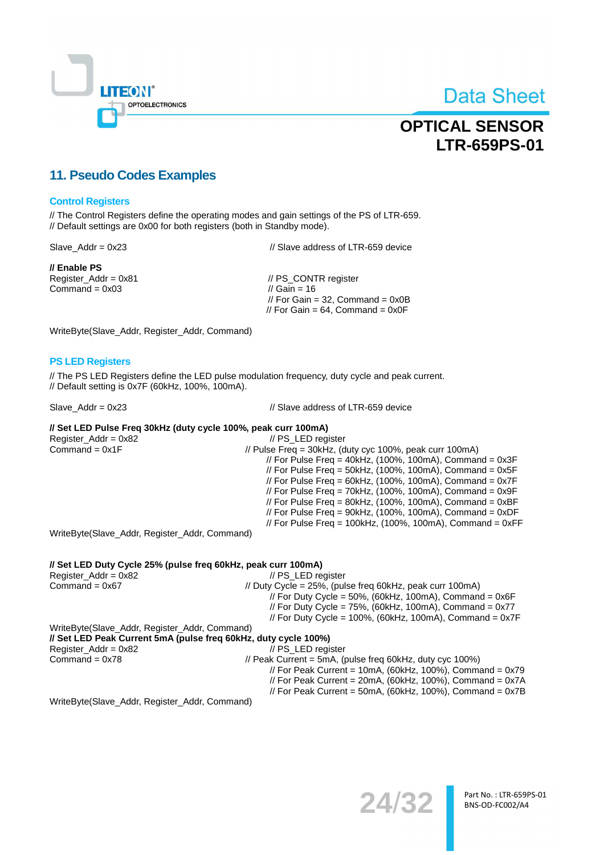

**Data Sheet** 

## **11. Pseudo Codes Examples**

#### **Control Registers**

// The Control Registers define the operating modes and gain settings of the PS of LTR-659. // Default settings are 0x00 for both registers (both in Standby mode).

 $Slave\_Addr = 0x23$ 

// Enable PS Register\_Addr = 0x81 Command =  $0x03$ 

// Slave address of LTR-659 device

// PS\_CONTR register // Gain =  $16$ // For Gain = 32. Command =  $0x0B$ // For Gain = 64. Command =  $0x0F$ 

WriteByte(Slave\_Addr, Register\_Addr, Command)

#### **PS LED Registers**

// The PS LED Registers define the LED pulse modulation frequency, duty cycle and peak current. // Default setting is 0x7F (60kHz, 100%, 100mA).

Slave  $Addr = 0x23$ 

// Slave address of LTR-659 device

#### // Set LED Pulse Freq 30kHz (duty cycle 100%, peak curr 100mA)

Register\_Addr = 0x82 // PS\_LED register Command =  $0x1F$ // Pulse Freq = 30kHz, (duty cyc 100%, peak curr 100mA) // For Pulse Freq =  $40kHz$ , (100%, 100mA), Command = 0x3F // For Pulse Freq = 50kHz, (100%, 100mA), Command =  $0x5F$ // For Pulse Freq = 60kHz, (100%, 100mA), Command =  $0x7F$ // For Pulse Freq = 70kHz,  $(100\%, 100mA)$ , Command = 0x9F  $\frac{1}{10}$  For Pulse Freq = 80kHz, (100%, 100mA), Command = 0xBF<br> $\frac{1}{10}$  For Pulse Freq = 90kHz, (100%, 100mA), Command = 0xDF // For Pulse Freq =  $100kHz$ , (100%, 100mA), Command =  $0xFF$ 

WriteByte(Slave\_Addr, Register\_Addr, Command)

#### // Set LED Duty Cycle 25% (pulse freq 60kHz, peak curr 100mA) Register  $Addr = 0x82$ // PS LED register Command =  $0x67$ // Duty Cycle = 25%, (pulse freq 60kHz, peak curr 100mA) // For Duty Cycle = 50%, (60kHz, 100mA), Command =  $0x6F$ // For Duty Cycle =  $75\%$ , (60kHz, 100mA), Command =  $0x77$ // For Duty Cycle =  $100\%$ , (60kHz, 100mA), Command = 0x7F WriteByte(Slave\_Addr, Register\_Addr, Command)

| // Set LED Peak Current 5mA (pulse freq 60kHz, duty cycle 100%) |                                                             |
|-----------------------------------------------------------------|-------------------------------------------------------------|
| Register Addr = 0x82                                            | // PS LED register                                          |
| Command = 0x78                                                  | // Peak Current = 5mA, (pulse freq 60kHz, duty cyc 100%)    |
|                                                                 | // For Peak Current = 10mA, (60kHz, 100%), Command = $0x79$ |
|                                                                 | // For Peak Current = 20mA, (60kHz, 100%), Command = $0x7A$ |
|                                                                 | // For Peak Current = 50mA, (60kHz, 100%), Command = $0x7B$ |
| WriteByto(Slove Addr Pogister Addr Command)                     |                                                             |

WriteByte(Slave\_Addr, Register\_Addr, Command)

24/32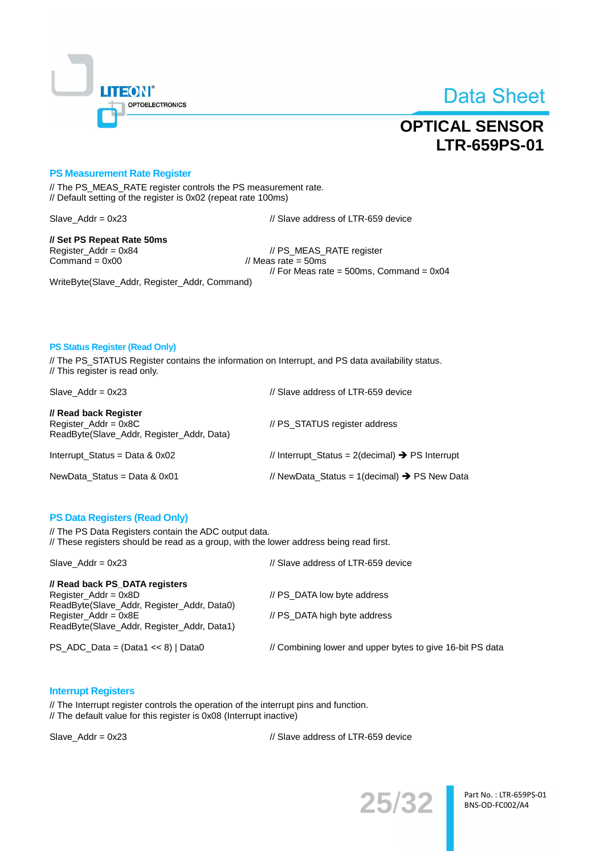

## **OPTICAL SENSOR LTR-659PS-01**

#### **PS Measurement Rate Register**

// The PS\_MEAS\_RATE register controls the PS measurement rate. // Default setting of the register is 0x02 (repeat rate 100ms)

Slave  $Addr = 0x23$ 

// Slave address of LTR-659 device

// Set PS Repeat Rate 50ms Register\_Addr = 0x84 Command =  $0x00$ 

// PS\_MEAS\_RATE register // Meas rate =  $50ms$ // For Meas rate =  $500$ ms, Command =  $0x04$ 

WriteByte(Slave\_Addr, Register\_Addr, Command)

#### **PS Status Register (Read Only)**

// The PS\_STATUS Register contains the information on Interrupt, and PS data availability status. // This register is read only.

| Slave Addr = $0x23$                                                                           | // Slave address of LTR-659 device                          |
|-----------------------------------------------------------------------------------------------|-------------------------------------------------------------|
| // Read back Register<br>$Register\_Addr = 0x8C$<br>ReadByte(Slave_Addr, Register_Addr, Data) | // PS STATUS register address                               |
| Interrupt_Status = Data $& 0x02$                                                              | // Interrupt Status = 2(decimal) $\rightarrow$ PS Interrupt |
| NewData Status = Data & $0x01$                                                                | // NewData_Status = 1(decimal) $\rightarrow$ PS New Data    |

#### **PS Data Registers (Read Only)**

// The PS Data Registers contain the ADC output data. // These registers should be read as a group, with the lower address being read first.

| Slave $Addr = 0x23$                                                                                                                                                             | // Slave address of LTR-659 device                          |
|---------------------------------------------------------------------------------------------------------------------------------------------------------------------------------|-------------------------------------------------------------|
| // Read back PS DATA registers<br>Register $Addr = 0x8D$<br>ReadByte(Slave_Addr, Register_Addr, Data0)<br>$Register\_Addr = 0x8E$<br>ReadByte(Slave_Addr, Register_Addr, Data1) | // PS DATA low byte address<br>// PS DATA high byte address |
| PS_ADC_Data = (Data1 << 8)   Data0                                                                                                                                              | // Combining lower and upper bytes to give 16-bit PS data   |

#### **Interrupt Registers**

// The Interrupt register controls the operation of the interrupt pins and function. // The default value for this register is 0x08 (Interrupt inactive)

 $Slave\_Addr = 0x23$ 

// Slave address of LTR-659 device



Part No.: LTR-659PS-01 BNS-OD-FC002/A4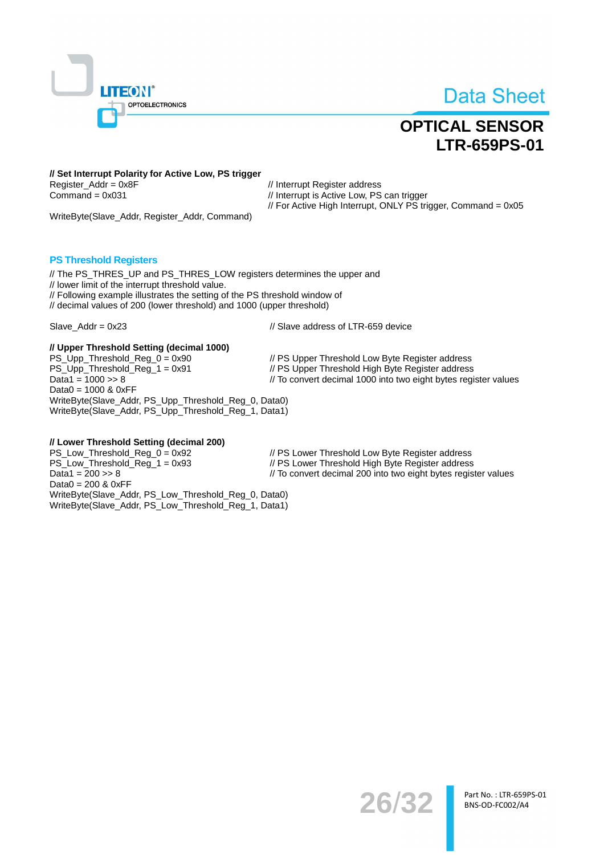

## **OPTICAL SENSOR LTR-659PS-01**

// Set Interrupt Polarity for Active Low, PS trigger Register  $Addr = 0x8F$ Command =  $0x031$ 

// Interrupt Register address // Interrupt is Active Low, PS can trigger // For Active High Interrupt, ONLY PS trigger, Command = 0x05

WriteByte(Slave\_Addr, Register\_Addr, Command)

#### **PS Threshold Registers**

// The PS THRES UP and PS THRES LOW registers determines the upper and // lower limit of the interrupt threshold value. // Following example illustrates the setting of the PS threshold window of // decimal values of 200 (lower threshold) and 1000 (upper threshold)

Slave\_Addr =  $0x23$ 

// Slave address of LTR-659 device

#### // Upper Threshold Setting (decimal 1000)

PS\_Upp\_Threshold\_Reg\_0 = 0x90 // PS Upper Threshold Low Byte Register address PS\_Upp\_Threshold\_Reg\_1 = 0x91 // PS Upper Threshold High Byte Register address Data1 =  $1000 \gg 8$ // To convert decimal 1000 into two eight bytes register values Data0 =  $1000$  &  $0xFF$ WriteByte(Slave\_Addr, PS\_Upp\_Threshold\_Reg\_0, Data0) WriteByte(Slave\_Addr, PS\_Upp\_Threshold\_Reg\_1, Data1)

#### // Lower Threshold Setting (decimal 200)

PS Low Threshold Req  $0 = 0x92$ // PS Lower Threshold Low Byte Register address PS\_Low\_Threshold\_Reg\_1 = 0x93 // PS Lower Threshold High Byte Register address Data1 =  $200 \gg 8$ // To convert decimal 200 into two eight bytes register values Data0 =  $200$  &  $0xFF$ WriteByte(Slave\_Addr, PS\_Low\_Threshold\_Reg\_0, Data0) WriteByte(Slave\_Addr, PS\_Low\_Threshold\_Reg\_1, Data1)

26/32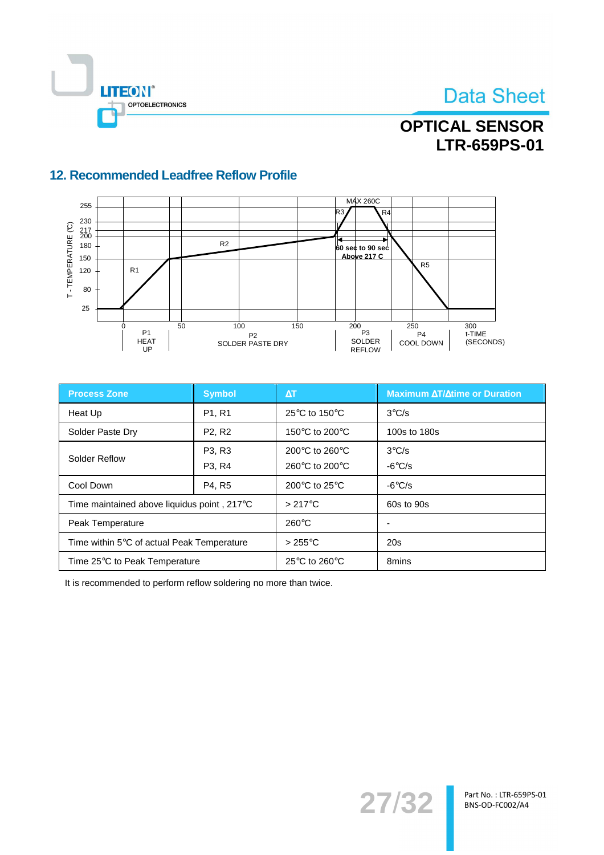



## 12. Recommended Leadfree Reflow Profile



| <b>Process Zone</b>                         | <b>Symbol</b>                   | $\Delta$ T                                          | <b>Maximum AT/Atime or Duration</b> |
|---------------------------------------------|---------------------------------|-----------------------------------------------------|-------------------------------------|
| Heat Up                                     | P <sub>1</sub> , R <sub>1</sub> | 25 $\mathrm{^{\circ}C}$ to 150 $\mathrm{^{\circ}C}$ | $3^{\circ}$ C/s                     |
| Solder Paste Dry                            | P <sub>2</sub> , R <sub>2</sub> | 150 $\degree$ C to 200 $\degree$ C                  | 100s to 180s                        |
| Solder Reflow                               | P <sub>3</sub> , R <sub>3</sub> | 200 $\degree$ C to 260 $\degree$ C                  | $3^{\circ}$ C/s                     |
|                                             | P <sub>3</sub> , R <sub>4</sub> | 260 $\degree$ C to 200 $\degree$ C                  | $-6^{\circ}$ C/s                    |
| Cool Down                                   | P4, R5                          | 200 $\mathrm{^{\circ}C}$ to 25 $\mathrm{^{\circ}C}$ | $-6^{\circ}$ C/s                    |
| Time maintained above liquidus point, 217°C |                                 | $>217^{\circ}$ C                                    | 60s to 90s                          |
| Peak Temperature                            |                                 | $260^{\circ}$ C                                     | $\overline{\phantom{0}}$            |
| Time within 5°C of actual Peak Temperature  |                                 | $>255^{\circ}$ C                                    | 20s                                 |
| Time 25°C to Peak Temperature               |                                 | 25 $\mathrm{^{\circ}C}$ to 260 $\mathrm{^{\circ}C}$ | 8mins                               |

It is recommended to perform reflow soldering no more than twice.

27/32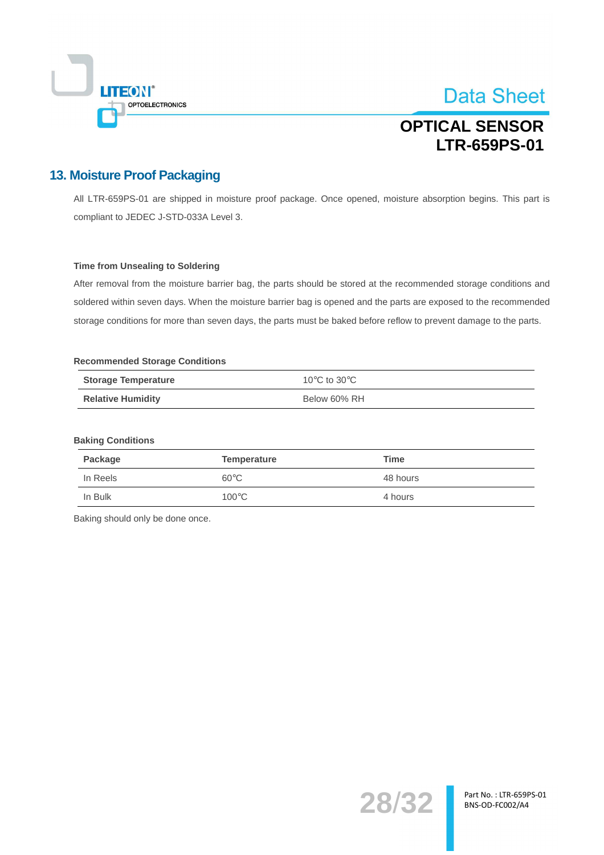

## **OPTICAL SENSOR LTR-659PS-01**

## **13. Moisture Proof Packaging**

All LTR-659PS-01 are shipped in moisture proof package. Once opened, moisture absorption begins. This part is compliant to JEDEC J-STD-033A Level 3.

#### **Time from Unsealing to Soldering**

After removal from the moisture barrier bag, the parts should be stored at the recommended storage conditions and soldered within seven days. When the moisture barrier bag is opened and the parts are exposed to the recommended storage conditions for more than seven days, the parts must be baked before reflow to prevent damage to the parts.

#### **Recommended Storage Conditions**

| <b>Storage Temperature</b> | 10 $\rm{^{\circ}C}$ to 30 $\rm{^{\circ}C}$ |
|----------------------------|--------------------------------------------|
| <b>Relative Humidity</b>   | Below 60% RH                               |

#### **Baking Conditions**

| Package  | Temperature     | Time     |
|----------|-----------------|----------|
| In Reels | $60^{\circ}$ C  | 48 hours |
| In Bulk  | $100^{\circ}$ C | 4 hours  |

Baking should only be done once.

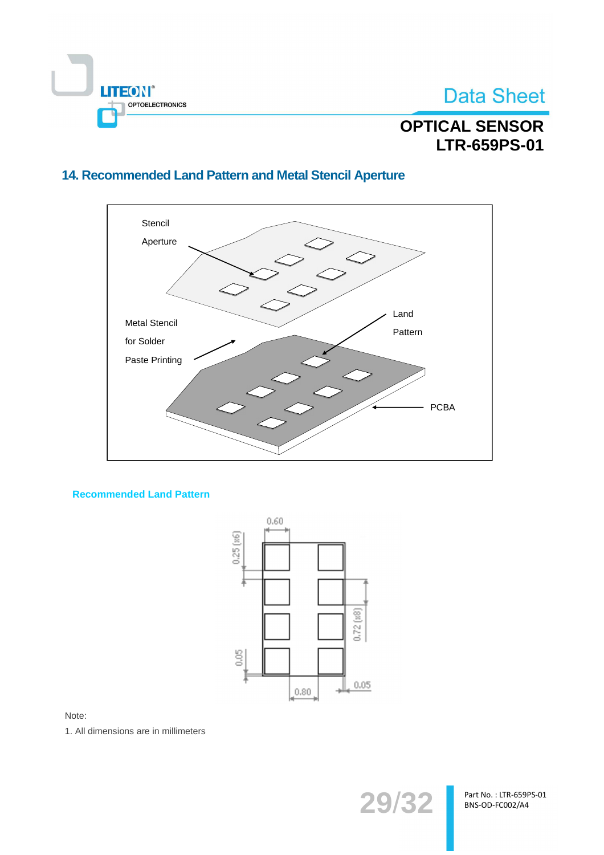

# **OPTICAL SENSOR** LTR-659PS-01

## 14. Recommended Land Pattern and Metal Stencil Aperture



#### **Recommended Land Pattern**



Note:

1. All dimensions are in millimeters



Part No.: LTR-659PS-01 BNS-OD-FC002/A4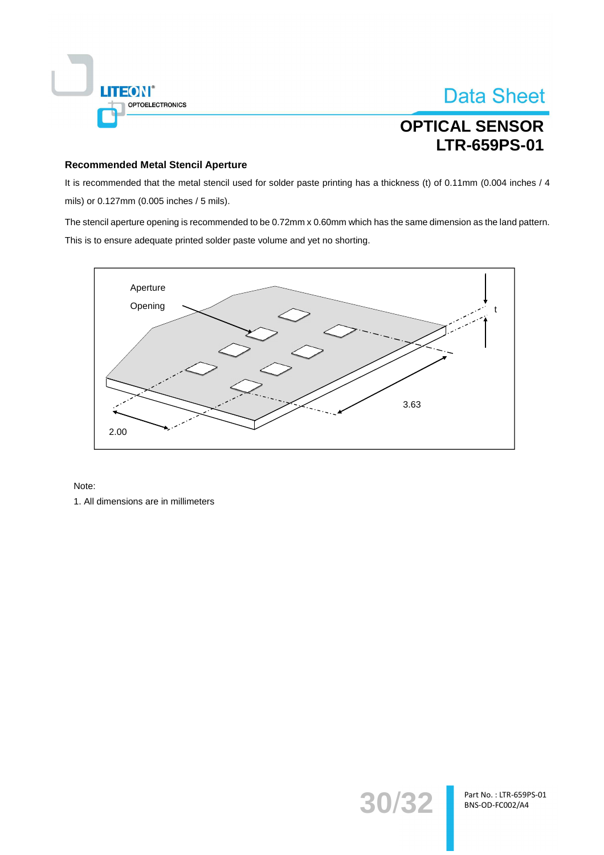

**Data Sheet** 

#### **Recommended Metal Stencil Aperture**

It is recommended that the metal stencil used for solder paste printing has a thickness (t) of 0.11mm (0.004 inches / 4 mils) or 0.127mm (0.005 inches / 5 mils).

The stencil aperture opening is recommended to be 0.72mm x 0.60mm which has the same dimension as the land pattern. This is to ensure adequate printed solder paste volume and yet no shorting.



#### Note:

1. All dimensions are in millimeters

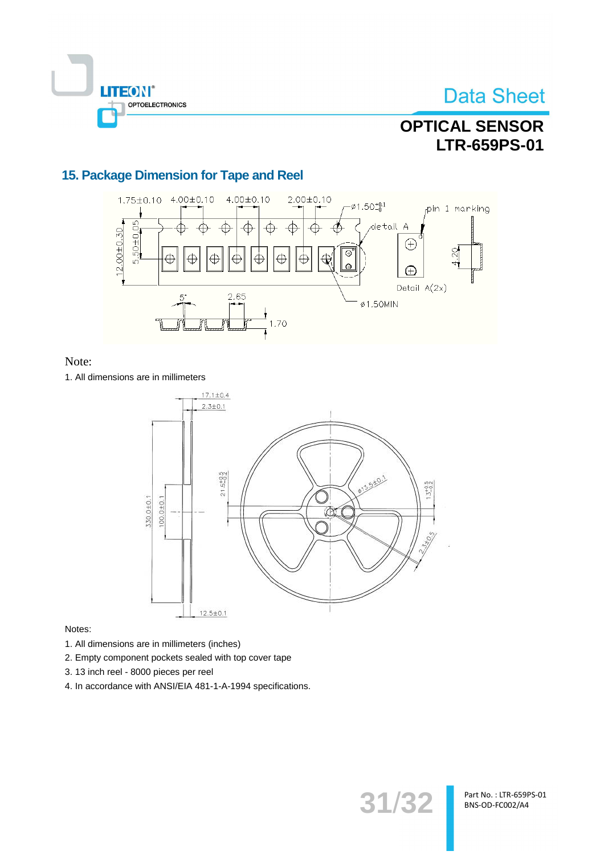

## **OPTICAL SENSOR LTR-659PS-01**

## 15. Package Dimension for Tape and Reel



### Note:

1. All dimensions are in millimeters



#### Notes:

- 1. All dimensions are in millimeters (inches)
- 2. Empty component pockets sealed with top cover tape
- 3. 13 inch reel 8000 pieces per reel
- 4. In accordance with ANSI/EIA 481-1-A-1994 specifications.

31/32

Part No.: LTR-659PS-01 BNS-OD-FC002/A4